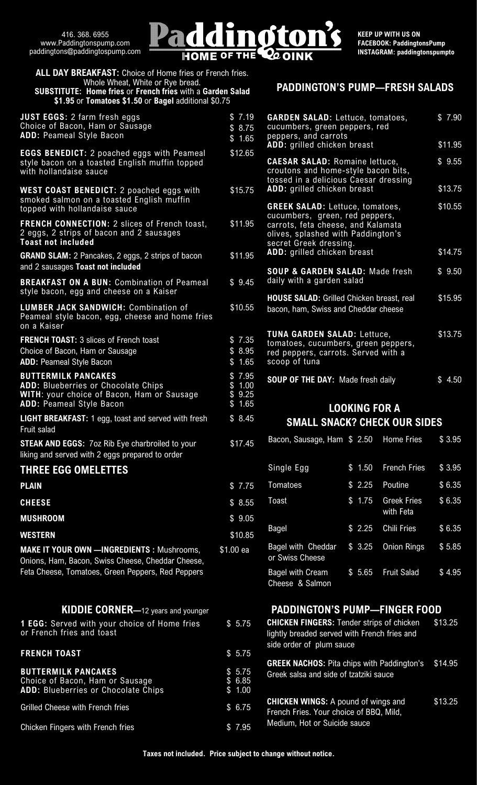

| <b>ALL DAY BREAKFAST:</b> Choice of Home fries or French fries.<br>Whole Wheat, White or Rye bread.<br><b>SUBSTITUTE: Home fries or French fries with a Garden Salad</b> |                                                          |  |
|--------------------------------------------------------------------------------------------------------------------------------------------------------------------------|----------------------------------------------------------|--|
| \$1.95 or Tomatoes \$1.50 or Bagel additional \$0.75                                                                                                                     |                                                          |  |
| <b>JUST EGGS: 2 farm fresh eggs</b><br>Choice of Bacon, Ham or Sausage<br><b>ADD: Peameal Style Bacon</b>                                                                | \$7.19<br>C<br>\$8.75<br>$\mathbf C$<br>p<br>A<br>\$1.65 |  |
| <b>EGGS BENEDICT:</b> 2 poached eggs with Peameal<br>style bacon on a toasted English muffin topped<br>with hollandaise sauce                                            | \$12.65<br>$\mathbf 0$<br>$\mathbf C$<br>$\mathfrak t$   |  |
| <b>WEST COAST BENEDICT:</b> 2 poached eggs with<br>smoked salmon on a toasted English muffin<br>topped with hollandaise sauce                                            | Ą<br>\$15.75<br>C                                        |  |
| <b>FRENCH CONNECTION: 2 slices of French toast,</b><br>2 eggs, 2 strips of bacon and 2 sausages<br><b>Toast not included</b>                                             | $\mathbf C$<br>\$11.95<br>$\mathbf C$<br>c<br>s          |  |
| <b>GRAND SLAM:</b> 2 Pancakes, 2 eggs, 2 strips of bacon<br>and 2 sausages Toast not included                                                                            | A<br>\$11.95<br>Ş                                        |  |
| <b>BREAKFAST ON A BUN: Combination of Peameal</b><br>style bacon, egg and cheese on a Kaiser                                                                             | $\mathbf{0}$<br>\$9.45                                   |  |
| <b>LUMBER JACK SANDWICH: Combination of</b><br>Peameal style bacon, egg, cheese and home fries<br>on a Kaiser                                                            | \$10.55<br>$\overline{0}$                                |  |
| <b>FRENCH TOAST: 3 slices of French toast</b>                                                                                                                            | $\mathbf{I}$<br>\$7.35<br>$\mathfrak{t}$                 |  |
| Choice of Bacon, Ham or Sausage<br><b>ADD: Peameal Style Bacon</b>                                                                                                       | \$8.95<br>$\mathsf{r}$<br>\$1.65<br>S                    |  |
| <b>BUTTERMILK PANCAKES</b>                                                                                                                                               | \$7.95<br>S                                              |  |
| <b>ADD: Blueberries or Chocolate Chips</b><br>WITH: your choice of Bacon, Ham or Sausage<br><b>ADD: Peameal Style Bacon</b>                                              | \$1.00<br>\$9.25<br>\$1.65                               |  |
| LIGHT BREAKFAST: 1 egg, toast and served with fresh<br>Fruit salad                                                                                                       | \$8.45                                                   |  |
| <b>STEAK AND EGGS: 7oz Rib Eye charbroiled to your</b><br>liking and served with 2 eggs prepared to order                                                                | \$17.45                                                  |  |
| <b>THREE EGG OMELETTES</b>                                                                                                                                               |                                                          |  |
| <b>PLAIN</b>                                                                                                                                                             | \$7.75                                                   |  |
| <b>CHEESE</b>                                                                                                                                                            | \$8.55                                                   |  |
| <b>MUSHROOM</b>                                                                                                                                                          | \$9.05                                                   |  |
| <b>WESTERN</b>                                                                                                                                                           | \$10.85                                                  |  |
| <b>MAKE IT YOUR OWN - INGREDIENTS: Mushrooms,</b><br>Onions, Ham, Bacon, Swiss Cheese, Cheddar Cheese,<br>Feta Cheese, Tomatoes, Green Peppers, Red Peppers              | \$1.00 ea                                                |  |
| <b>KIDDIE CORNER</b> —12 years and younger                                                                                                                               |                                                          |  |
| 1 EGG: Served with your choice of Home fries<br>or French fries and toast                                                                                                | O<br>\$5.75<br>ľ                                         |  |
| <b>FRENCH TOAST</b>                                                                                                                                                      | S<br>\$5.75<br>C                                         |  |
| <b>BUTTERMILK PANCAKES</b><br>Choice of Bacon, Ham or Sausage<br><b>ADD: Blueberries or Chocolate Chips</b>                                                              | \$5.75<br>C<br>\$6.85<br>\$1.00                          |  |
| <b>Grilled Cheese with French fries</b>                                                                                                                                  | \$6.75                                                   |  |
| Chicken Fingers with French fries                                                                                                                                        | \$7.95                                                   |  |

# **PADDINGTON'S PUMP—FRESH SALADS**

| 35                   | cucumbers, green, red peppers,<br>carrots, feta cheese, and Kalamata<br>olives, splashed with Paddington's<br>secret Greek dressing. |         |
|----------------------|--------------------------------------------------------------------------------------------------------------------------------------|---------|
| 35                   | ADD: grilled chicken breast                                                                                                          | \$14.75 |
| 15                   | <b>SOUP &amp; GARDEN SALAD: Made fresh</b><br>daily with a garden salad                                                              | \$9.50  |
| 55                   | <b>HOUSE SALAD:</b> Grilled Chicken breast, real<br>bacon, ham, Swiss and Cheddar cheese                                             | \$15.95 |
| 35<br>95<br>55       | <b>TUNA GARDEN SALAD: Lettuce,</b><br>tomatoes, cucumbers, green peppers,<br>red peppers, carrots. Served with a<br>scoop of tuna    | \$13.75 |
| 95<br>$\overline{0}$ | <b>SOUP OF THE DAY: Made fresh daily</b>                                                                                             | \$4.50  |
| 25                   |                                                                                                                                      |         |
| 55<br>45             | <b>LOOKING FOR A</b><br>SMALL SNACK? CHECK OUR SIDES                                                                                 |         |

| Bacon, Sausage, Ham \$ 2.50                |        | <b>Home Fries</b>               | \$3.95 |
|--------------------------------------------|--------|---------------------------------|--------|
| Single Egg                                 | \$1.50 | <b>French Fries</b>             | \$3.95 |
| Tomatoes                                   | \$2.25 | Poutine                         | \$6.35 |
| Toast                                      | \$1.75 | <b>Greek Fries</b><br>with Feta | \$6.35 |
| <b>Bagel</b>                               | \$2.25 | <b>Chili Fries</b>              | \$6.35 |
| Bagel with Cheddar<br>or Swiss Cheese      | \$3.25 | <b>Onion Rings</b>              | \$5.85 |
| <b>Bagel with Cream</b><br>Cheese & Salmon | \$5.65 | <b>Fruit Salad</b>              | \$4.95 |

## **PADDINGTON'S PUMP—FINGER FOOD**

| <b>CHICKEN FINGERS: Tender strips of chicken</b><br>lightly breaded served with French fries and<br>side order of plum sauce | \$13.25 |
|------------------------------------------------------------------------------------------------------------------------------|---------|
| <b>GREEK NACHOS:</b> Pita chips with Paddington's<br>Greek salsa and side of tzatziki sauce                                  | \$14.95 |
| <b>CHICKEN WINGS: A pound of wings and</b><br>French Fries. Your choice of BBQ, Mild,<br>Medium, Hot or Suicide sauce        | \$13.25 |